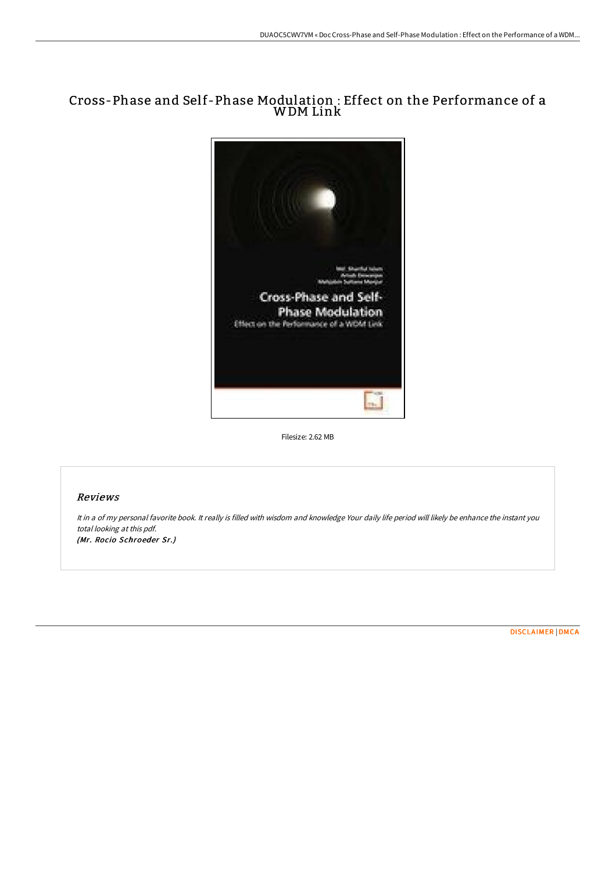# Cross-Phase and Self-Phase Modulation : Effect on the Performance of a WDM Link



Filesize: 2.62 MB

### Reviews

It in <sup>a</sup> of my personal favorite book. It really is filled with wisdom and knowledge Your daily life period will likely be enhance the instant you total looking at this pdf. (Mr. Rocio Schroeder Sr.)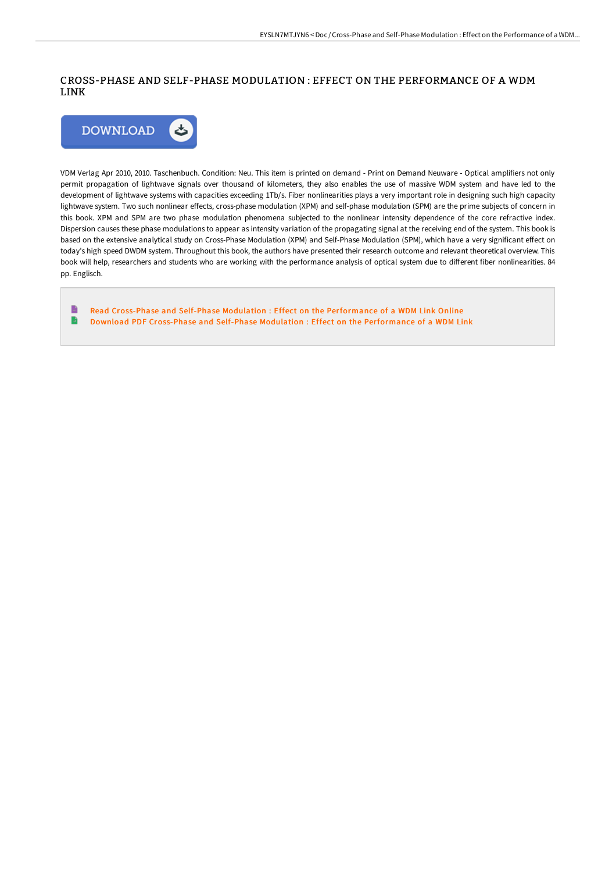## CROSS-PHASE AND SELF-PHASE MODULATION : EFFECT ON THE PERFORMANCE OF A WDM LINK



VDM Verlag Apr 2010, 2010. Taschenbuch. Condition: Neu. This item is printed on demand - Print on Demand Neuware - Optical amplifiers not only permit propagation of lightwave signals over thousand of kilometers, they also enables the use of massive WDM system and have led to the development of lightwave systems with capacities exceeding 1Tb/s. Fiber nonlinearities plays a very important role in designing such high capacity lightwave system. Two such nonlinear effects, cross-phase modulation (XPM) and self-phase modulation (SPM) are the prime subjects of concern in this book. XPM and SPM are two phase modulation phenomena subjected to the nonlinear intensity dependence of the core refractive index. Dispersion causes these phase modulations to appear as intensity variation of the propagating signal at the receiving end of the system. This book is based on the extensive analytical study on Cross-Phase Modulation (XPM) and Self-Phase Modulation (SPM), which have a very significant effect on today's high speed DWDM system. Throughout this book, the authors have presented their research outcome and relevant theoretical overview. This book will help, researchers and students who are working with the performance analysis of optical system due to different fiber nonlinearities. 84 pp. Englisch.

E Read Cross-Phase and Self-Phase Modulation : Effect on the [Performance](http://albedo.media/cross-phase-and-self-phase-modulation-effect-on-.html) of a WDM Link Online  $\blacksquare$ Download PDF Cross-Phase and Self-Phase Modulation : Effect on the [Performance](http://albedo.media/cross-phase-and-self-phase-modulation-effect-on-.html) of a WDM Link